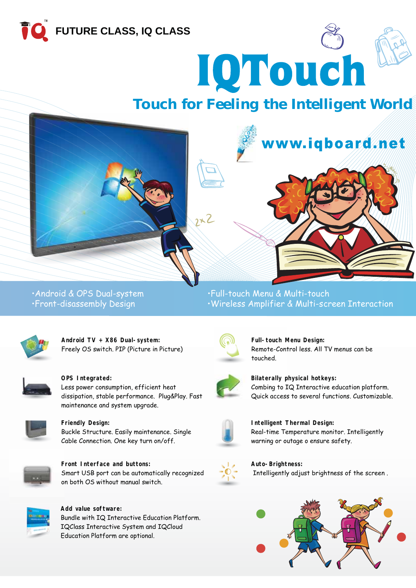



# *Touch for Feeling the Intelligent World*



## \$QGURLG 236'XDOV\VWHP )XOOWRXFK0HQX 0XOWLWRXFK •Front-disassembly Design • Vireless Amplifier & Multi-screen Interaction



**Android TV + X86 Dual-system:** Freely OS switch. PIP (Picture in Picture)



**OPS Integrated:**

Less power consumption, efficient heat dissipation, stable performance. Plug&Play. Fast maintenance and system upgrade.



**Friendly Design:**

Buckle Structure. Easily maintenance. Single Cable Connection, One key turn on/off.



**Front Interface and buttons: F** Smart USB port can be automatically recognized on both OS without manual switch.



**Add value software:** Bundle with IQ Interactive Education Platform. IQClass Interactive System and IQCloud Education Platform are optional.



**Full-touch Menu Design: M** Remote-Control less. All TV menus can be touched.



**Bilaterally physical hotkeys: p** Combing to IQ Interactive education platform. Quick access to several functions. Customizable.

www.iqboard.net



**Intelligent Thermal Design:** Real-time Temperature monitor. Intelligently warning or outage o ensure safety.



**Auto-Brightness:** Intelligently adjust brightness of the screen.